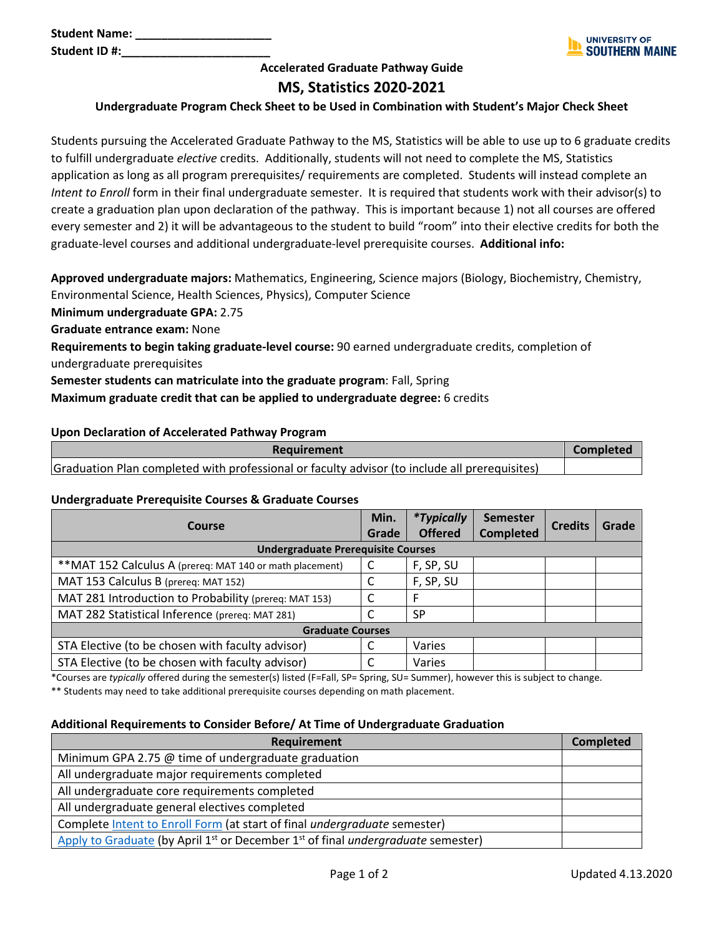**Student Name: \_\_\_\_\_\_\_\_\_\_\_\_\_\_\_\_\_\_\_\_\_** Student ID #:



### **Accelerated Graduate Pathway Guide**

## **MS, Statistics 2020-2021**

#### **Undergraduate Program Check Sheet to be Used in Combination with Student's Major Check Sheet**

Students pursuing the Accelerated Graduate Pathway to the MS, Statistics will be able to use up to 6 graduate credits to fulfill undergraduate *elective* credits. Additionally, students will not need to complete the MS, Statistics application as long as all program prerequisites/ requirements are completed. Students will instead complete an *Intent to Enroll* form in their final undergraduate semester. It is required that students work with their advisor(s) to create a graduation plan upon declaration of the pathway. This is important because 1) not all courses are offered every semester and 2) it will be advantageous to the student to build "room" into their elective credits for both the graduate-level courses and additional undergraduate-level prerequisite courses. **Additional info:**

**Approved undergraduate majors:** Mathematics, Engineering, Science majors (Biology, Biochemistry, Chemistry, Environmental Science, Health Sciences, Physics), Computer Science

**Minimum undergraduate GPA:** 2.75

**Graduate entrance exam:** None

**Requirements to begin taking graduate-level course:** 90 earned undergraduate credits, completion of undergraduate prerequisites

**Semester students can matriculate into the graduate program**: Fall, Spring

#### **Maximum graduate credit that can be applied to undergraduate degree:** 6 credits

#### **Upon Declaration of Accelerated Pathway Program**

| Requirement                                                                                   | <b>Completed</b> |
|-----------------------------------------------------------------------------------------------|------------------|
| Graduation Plan completed with professional or faculty advisor (to include all prerequisites) |                  |

#### **Undergraduate Prerequisite Courses & Graduate Courses**

| Course                                                    | Min.<br>Grade | <i>*Typically</i><br><b>Offered</b> | <b>Semester</b><br><b>Completed</b> | <b>Credits</b> | Grade |
|-----------------------------------------------------------|---------------|-------------------------------------|-------------------------------------|----------------|-------|
| <b>Undergraduate Prerequisite Courses</b>                 |               |                                     |                                     |                |       |
| ** MAT 152 Calculus A (prereq: MAT 140 or math placement) | C             | F, SP, SU                           |                                     |                |       |
| MAT 153 Calculus B (prereq: MAT 152)                      | C             | F, SP, SU                           |                                     |                |       |
| MAT 281 Introduction to Probability (prereq: MAT 153)     | C             | F                                   |                                     |                |       |
| MAT 282 Statistical Inference (prereq: MAT 281)           | r             | <b>SP</b>                           |                                     |                |       |
| <b>Graduate Courses</b>                                   |               |                                     |                                     |                |       |
| STA Elective (to be chosen with faculty advisor)          | C             | Varies                              |                                     |                |       |
| STA Elective (to be chosen with faculty advisor)          | C             | Varies                              |                                     |                |       |

\*Courses are *typically* offered during the semester(s) listed (F=Fall, SP= Spring, SU= Summer), however this is subject to change.

\*\* Students may need to take additional prerequisite courses depending on math placement.

#### **Additional Requirements to Consider Before/ At Time of Undergraduate Graduation**

| Requirement                                                                                                     | <b>Completed</b> |
|-----------------------------------------------------------------------------------------------------------------|------------------|
| Minimum GPA 2.75 @ time of undergraduate graduation                                                             |                  |
| All undergraduate major requirements completed                                                                  |                  |
| All undergraduate core requirements completed                                                                   |                  |
| All undergraduate general electives completed                                                                   |                  |
| Complete Intent to Enroll Form (at start of final undergraduate semester)                                       |                  |
| Apply to Graduate (by April 1 <sup>st</sup> or December 1 <sup>st</sup> of final <i>undergraduate</i> semester) |                  |